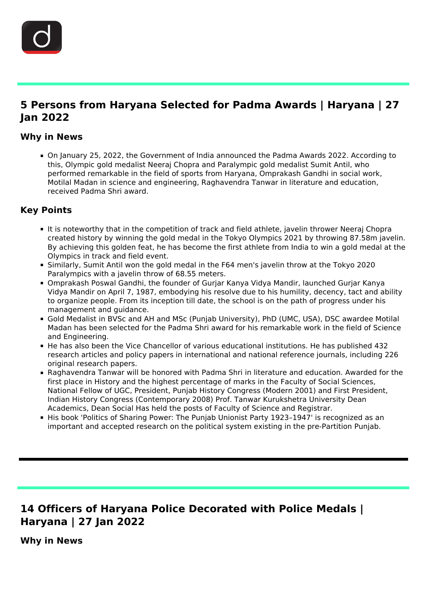

# **5 Persons from Haryana Selected for Padma Awards | Haryana | 27 Jan 2022**

#### **Why in News**

On January 25, 2022, the Government of India announced the Padma Awards 2022. According to this, Olympic gold medalist Neeraj Chopra and Paralympic gold medalist Sumit Antil, who performed remarkable in the field of sports from Haryana, Omprakash Gandhi in social work, Motilal Madan in science and engineering, Raghavendra Tanwar in literature and education, received Padma Shri award.

### **Key Points**

- It is noteworthy that in the competition of track and field athlete, javelin thrower Neeraj Chopra created history by winning the gold medal in the Tokyo Olympics 2021 by throwing 87.58m javelin. By achieving this golden feat, he has become the first athlete from India to win a gold medal at the Olympics in track and field event.
- Similarly, Sumit Antil won the gold medal in the F64 men's javelin throw at the Tokyo 2020 Paralympics with a javelin throw of 68.55 meters.
- Omprakash Poswal Gandhi, the founder of Gurjar Kanya Vidya Mandir, launched Gurjar Kanya Vidya Mandir on April 7, 1987, embodying his resolve due to his humility, decency, tact and ability to organize people. From its inception till date, the school is on the path of progress under his management and guidance.
- Gold Medalist in BVSc and AH and MSc (Punjab University), PhD (UMC, USA), DSC awardee Motilal Madan has been selected for the Padma Shri award for his remarkable work in the field of Science and Engineering.
- He has also been the Vice Chancellor of various educational institutions. He has published 432 research articles and policy papers in international and national reference journals, including 226 original research papers.
- Raghavendra Tanwar will be honored with Padma Shri in literature and education. Awarded for the first place in History and the highest percentage of marks in the Faculty of Social Sciences, National Fellow of UGC, President, Punjab History Congress (Modern 2001) and First President, Indian History Congress (Contemporary 2008) Prof. Tanwar Kurukshetra University Dean Academics, Dean Social Has held the posts of Faculty of Science and Registrar.
- His book 'Politics of Sharing Power: The Punjab Unionist Party 1923-1947' is recognized as an important and accepted research on the political system existing in the pre-Partition Punjab.

# **14 Officers of Haryana Police Decorated with Police Medals | Haryana | 27 Jan 2022**

**Why in News**

Ĩ